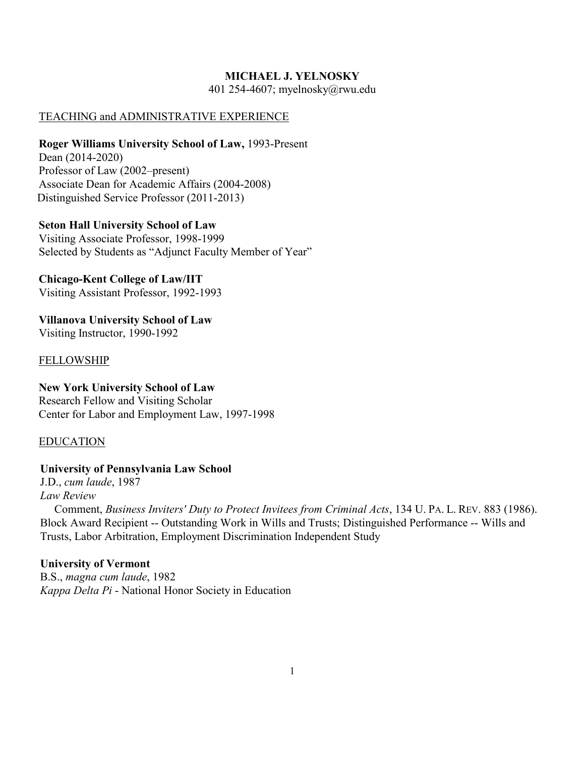#### **MICHAEL J. YELNOSKY**

401 254-4607; myelnosky@rwu.edu

#### TEACHING and ADMINISTRATIVE EXPERIENCE

#### **Roger Williams University School of Law,** 1993-Present

Dean (2014-2020) Professor of Law (2002–present) Associate Dean for Academic Affairs (2004-2008) Distinguished Service Professor (2011-2013)

#### **Seton Hall University School of Law**

Visiting Associate Professor, 1998-1999 Selected by Students as "Adjunct Faculty Member of Year"

## **Chicago-Kent College of Law/IIT**

Visiting Assistant Professor, 1992-1993

 **Villanova University School of Law**  Visiting Instructor, 1990-1992

#### **FELLOWSHIP**

## **New York University School of Law** Research Fellow and Visiting Scholar Center for Labor and Employment Law, 1997-1998

## EDUCATION

## **University of Pennsylvania Law School**

 J.D., *cum laude*, 1987 *Law Review* 

 Comment, *Business Inviters' Duty to Protect Invitees from Criminal Acts*, 134 U. PA. L. REV. 883 (1986). Block Award Recipient -- Outstanding Work in Wills and Trusts; Distinguished Performance -- Wills and Trusts, Labor Arbitration, Employment Discrimination Independent Study

## **University of Vermont**

 B.S., *magna cum laude*, 1982 *Kappa Delta Pi* - National Honor Society in Education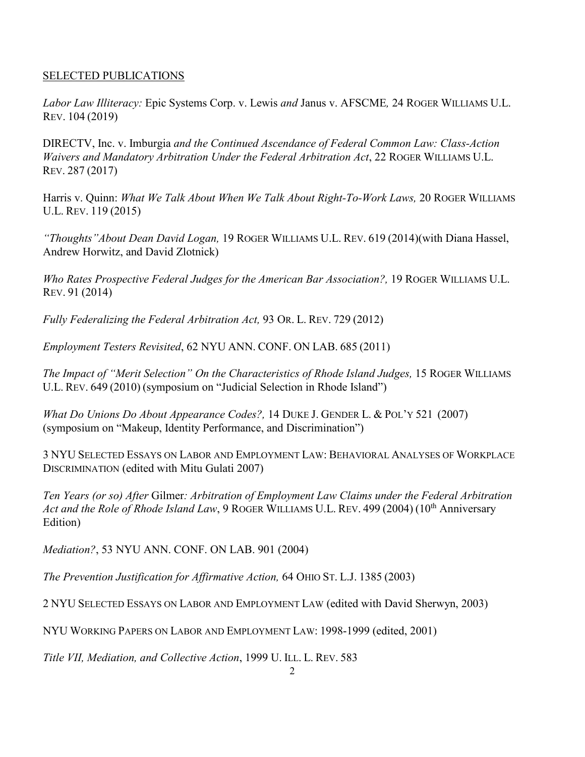## SELECTED PUBLICATIONS

*Labor Law Illiteracy:* Epic Systems Corp. v. Lewis *and* Janus v. AFSCME*,* 24 ROGER WILLIAMS U.L. REV. 104 (2019)

DIRECTV, Inc. v. Imburgia *and the Continued Ascendance of Federal Common Law: Class-Action Waivers and Mandatory Arbitration Under the Federal Arbitration Act*, 22 ROGER WILLIAMS U.L. REV. 287 (2017)

Harris v. Quinn: *What We Talk About When We Talk About Right-To-Work Laws,* 20 ROGER WILLIAMS U.L. REV. 119 (2015)

*"Thoughts"About Dean David Logan,* 19 ROGER WILLIAMS U.L. REV. 619 (2014)(with Diana Hassel, Andrew Horwitz, and David Zlotnick)

*Who Rates Prospective Federal Judges for the American Bar Association?,* 19 ROGER WILLIAMS U.L. REV. 91 (2014)

*Fully Federalizing the Federal Arbitration Act,* 93 OR. L. REV. 729 (2012)

*Employment Testers Revisited*, 62 NYU ANN. CONF. ON LAB. 685 (2011)

*The Impact of "Merit Selection" On the Characteristics of Rhode Island Judges,* 15 ROGER WILLIAMS U.L. REV. 649 (2010) (symposium on "Judicial Selection in Rhode Island")

*What Do Unions Do About Appearance Codes?,* 14 DUKE J. GENDER L. & POL'Y 521 (2007) (symposium on "Makeup, Identity Performance, and Discrimination")

3 NYU SELECTED ESSAYS ON LABOR AND EMPLOYMENT LAW: BEHAVIORAL ANALYSES OF WORKPLACE DISCRIMINATION (edited with Mitu Gulati 2007)

*Ten Years (or so) After* Gilmer*: Arbitration of Employment Law Claims under the Federal Arbitration*  Act and the Role of Rhode Island Law, 9 ROGER WILLIAMS U.L. REV. 499 (2004) (10<sup>th</sup> Anniversary Edition)

*Mediation?*, 53 NYU ANN. CONF. ON LAB. 901 (2004)

*The Prevention Justification for Affirmative Action,* 64 OHIO ST. L.J. 1385 (2003)

2 NYU SELECTED ESSAYS ON LABOR AND EMPLOYMENT LAW (edited with David Sherwyn, 2003)

NYU WORKING PAPERS ON LABOR AND EMPLOYMENT LAW: 1998-1999 (edited, 2001)

*Title VII, Mediation, and Collective Action*, 1999 U. ILL. L. REV. 583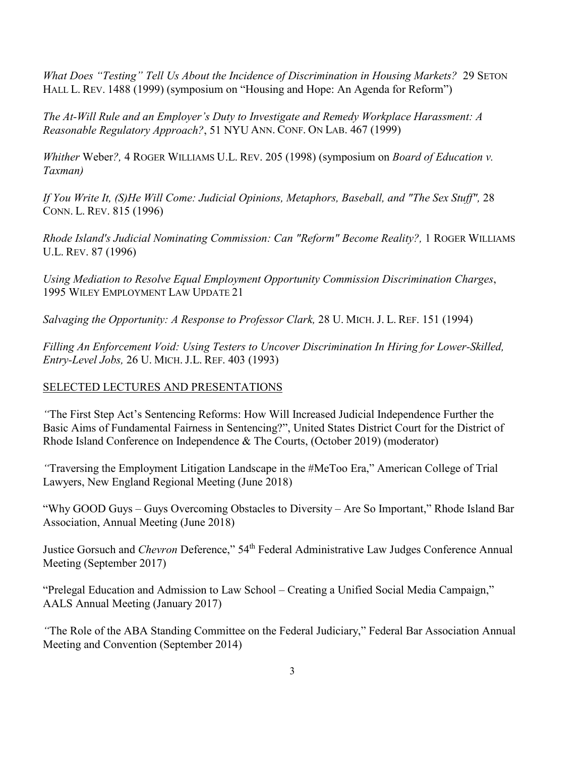*What Does "Testing" Tell Us About the Incidence of Discrimination in Housing Markets?* 29 SETON HALL L. REV. 1488 (1999) (symposium on "Housing and Hope: An Agenda for Reform")

*The At-Will Rule and an Employer's Duty to Investigate and Remedy Workplace Harassment: A Reasonable Regulatory Approach?*, 51 NYU ANN. CONF. ON LAB. 467 (1999)

*Whither* Weber*?,* 4 ROGER WILLIAMS U.L. REV. 205 (1998) (symposium on *Board of Education v. Taxman)* 

*If You Write It, (S)He Will Come: Judicial Opinions, Metaphors, Baseball, and "The Sex Stuff",* 28 CONN. L. REV. 815 (1996)

*Rhode Island's Judicial Nominating Commission: Can "Reform" Become Reality?,* 1 ROGER WILLIAMS U.L. REV. 87 (1996)

*Using Mediation to Resolve Equal Employment Opportunity Commission Discrimination Charges*, 1995 WILEY EMPLOYMENT LAW UPDATE 21

*Salvaging the Opportunity: A Response to Professor Clark, 28 U. MICH. J. L. REF. 151 (1994)* 

*Filling An Enforcement Void: Using Testers to Uncover Discrimination In Hiring for Lower-Skilled, Entry-Level Jobs,* 26 U. MICH. J.L. REF. 403 (1993)

# SELECTED LECTURES AND PRESENTATIONS

*"*The First Step Act's Sentencing Reforms: How Will Increased Judicial Independence Further the Basic Aims of Fundamental Fairness in Sentencing?", United States District Court for the District of Rhode Island Conference on Independence & The Courts, (October 2019) (moderator)

*"*Traversing the Employment Litigation Landscape in the #MeToo Era," American College of Trial Lawyers, New England Regional Meeting (June 2018)

"Why GOOD Guys – Guys Overcoming Obstacles to Diversity – Are So Important," Rhode Island Bar Association, Annual Meeting (June 2018)

Justice Gorsuch and *Chevron* Deference," 54<sup>th</sup> Federal Administrative Law Judges Conference Annual Meeting (September 2017)

"Prelegal Education and Admission to Law School – Creating a Unified Social Media Campaign," AALS Annual Meeting (January 2017)

*"*The Role of the ABA Standing Committee on the Federal Judiciary," Federal Bar Association Annual Meeting and Convention (September 2014)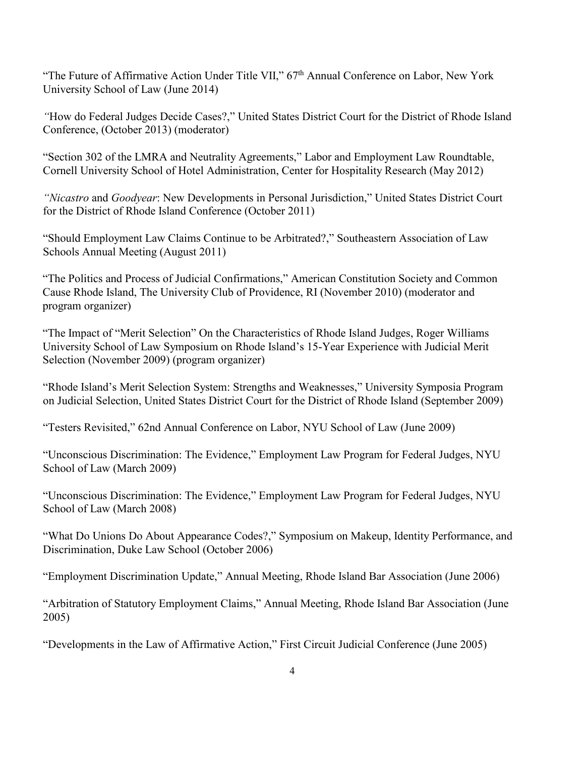"The Future of Affirmative Action Under Title VII," 67<sup>th</sup> Annual Conference on Labor, New York University School of Law (June 2014)

*"*How do Federal Judges Decide Cases?," United States District Court for the District of Rhode Island Conference, (October 2013) (moderator)

"Section 302 of the LMRA and Neutrality Agreements," Labor and Employment Law Roundtable, Cornell University School of Hotel Administration, Center for Hospitality Research (May 2012)

*"Nicastro* and *Goodyear*: New Developments in Personal Jurisdiction," United States District Court for the District of Rhode Island Conference (October 2011)

"Should Employment Law Claims Continue to be Arbitrated?," Southeastern Association of Law Schools Annual Meeting (August 2011)

"The Politics and Process of Judicial Confirmations," American Constitution Society and Common Cause Rhode Island, The University Club of Providence, RI (November 2010) (moderator and program organizer)

"The Impact of "Merit Selection" On the Characteristics of Rhode Island Judges, Roger Williams University School of Law Symposium on Rhode Island's 15-Year Experience with Judicial Merit Selection (November 2009) (program organizer)

"Rhode Island's Merit Selection System: Strengths and Weaknesses," University Symposia Program on Judicial Selection, United States District Court for the District of Rhode Island (September 2009)

"Testers Revisited," 62nd Annual Conference on Labor, NYU School of Law (June 2009)

"Unconscious Discrimination: The Evidence," Employment Law Program for Federal Judges, NYU School of Law (March 2009)

"Unconscious Discrimination: The Evidence," Employment Law Program for Federal Judges, NYU School of Law (March 2008)

"What Do Unions Do About Appearance Codes?," Symposium on Makeup, Identity Performance, and Discrimination, Duke Law School (October 2006)

"Employment Discrimination Update," Annual Meeting, Rhode Island Bar Association (June 2006)

"Arbitration of Statutory Employment Claims," Annual Meeting, Rhode Island Bar Association (June 2005)

"Developments in the Law of Affirmative Action," First Circuit Judicial Conference (June 2005)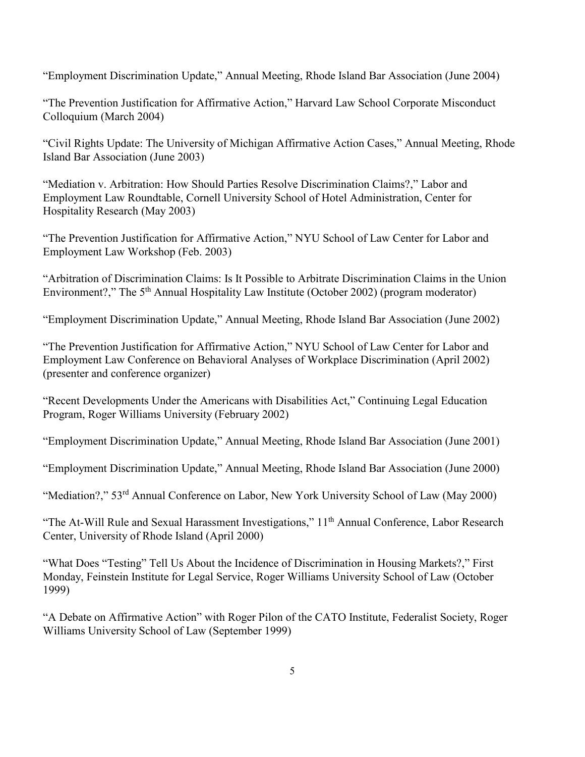"Employment Discrimination Update," Annual Meeting, Rhode Island Bar Association (June 2004)

"The Prevention Justification for Affirmative Action," Harvard Law School Corporate Misconduct Colloquium (March 2004)

"Civil Rights Update: The University of Michigan Affirmative Action Cases," Annual Meeting, Rhode Island Bar Association (June 2003)

"Mediation v. Arbitration: How Should Parties Resolve Discrimination Claims?," Labor and Employment Law Roundtable, Cornell University School of Hotel Administration, Center for Hospitality Research (May 2003)

"The Prevention Justification for Affirmative Action," NYU School of Law Center for Labor and Employment Law Workshop (Feb. 2003)

"Arbitration of Discrimination Claims: Is It Possible to Arbitrate Discrimination Claims in the Union Environment?," The  $5<sup>th</sup>$  Annual Hospitality Law Institute (October 2002) (program moderator)

"Employment Discrimination Update," Annual Meeting, Rhode Island Bar Association (June 2002)

"The Prevention Justification for Affirmative Action," NYU School of Law Center for Labor and Employment Law Conference on Behavioral Analyses of Workplace Discrimination (April 2002) (presenter and conference organizer)

"Recent Developments Under the Americans with Disabilities Act," Continuing Legal Education Program, Roger Williams University (February 2002)

"Employment Discrimination Update," Annual Meeting, Rhode Island Bar Association (June 2001)

"Employment Discrimination Update," Annual Meeting, Rhode Island Bar Association (June 2000)

"Mediation?," 53<sup>rd</sup> Annual Conference on Labor, New York University School of Law (May 2000)

"The At-Will Rule and Sexual Harassment Investigations," 11<sup>th</sup> Annual Conference, Labor Research Center, University of Rhode Island (April 2000)

"What Does "Testing" Tell Us About the Incidence of Discrimination in Housing Markets?," First Monday, Feinstein Institute for Legal Service, Roger Williams University School of Law (October 1999)

"A Debate on Affirmative Action" with Roger Pilon of the CATO Institute, Federalist Society, Roger Williams University School of Law (September 1999)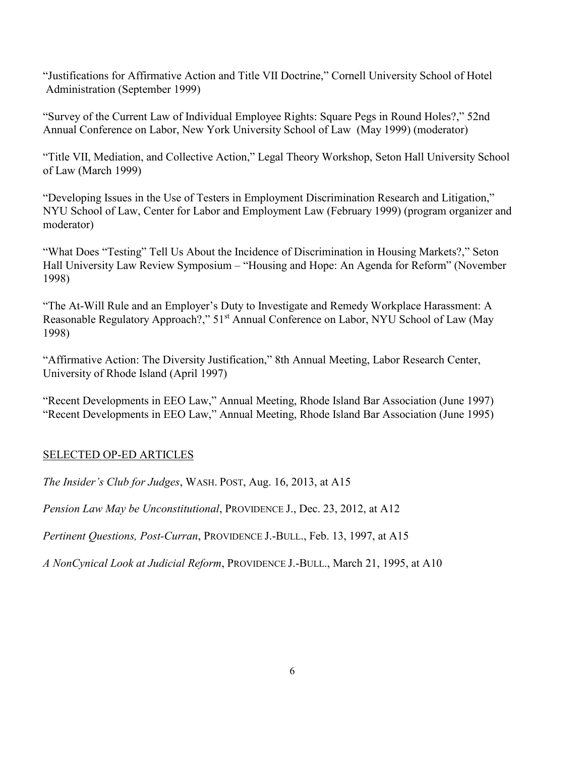"Justifications for Affirmative Action and Title VII Doctrine," Cornell University School of Hotel Administration (September 1999)

"Survey of the Current Law of Individual Employee Rights: Square Pegs in Round Holes?," 52nd Annual Conference on Labor, New York University School of Law (May 1999) (moderator)

"Title VII, Mediation, and Collective Action," Legal Theory Workshop, Seton Hall University School of Law (March 1999)

"Developing Issues in the Use of Testers in Employment Discrimination Research and Litigation," NYU School of Law, Center for Labor and Employment Law (February 1999) (program organizer and moderator)

"What Does "Testing" Tell Us About the Incidence of Discrimination in Housing Markets?," Seton Hall University Law Review Symposium – "Housing and Hope: An Agenda for Reform" (November 1998)

"The At-Will Rule and an Employer's Duty to Investigate and Remedy Workplace Harassment: A Reasonable Regulatory Approach?," 51<sup>st</sup> Annual Conference on Labor, NYU School of Law (May 1998)

"Affirmative Action: The Diversity Justification," 8th Annual Meeting, Labor Research Center, University of Rhode Island (April 1997)

"Recent Developments in EEO Law," Annual Meeting, Rhode Island Bar Association (June 1997) "Recent Developments in EEO Law," Annual Meeting, Rhode Island Bar Association (June 1995)

## SELECTED OP-ED ARTICLES

*The Insider's Club for Judges*, WASH. POST, Aug. 16, 2013, at A15

*Pension Law May be Unconstitutional*, PROVIDENCE J., Dec. 23, 2012, at A12

*Pertinent Questions, Post-Curran*, PROVIDENCE J.-BULL., Feb. 13, 1997, at A15

*A NonCynical Look at Judicial Reform*, PROVIDENCE J.-BULL., March 21, 1995, at A10